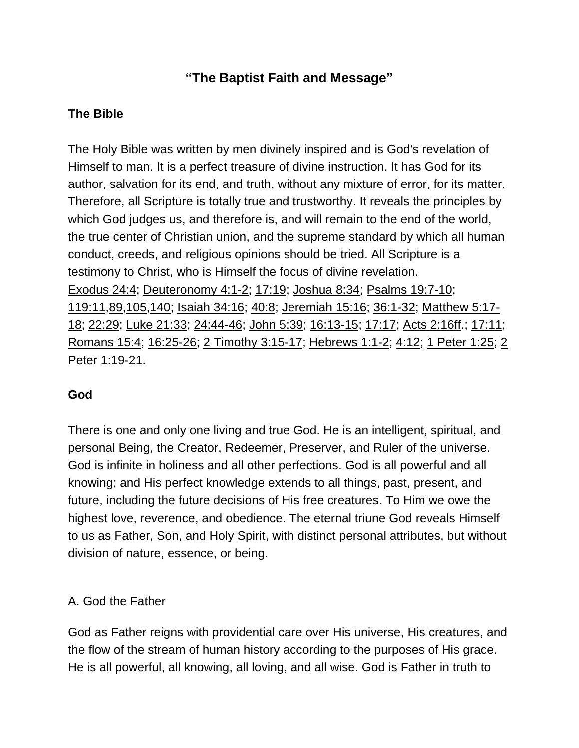# **"The Baptist Faith and Message"**

## **The Bible**

The Holy Bible was written by men divinely inspired and is God's revelation of Himself to man. It is a perfect treasure of divine instruction. It has God for its author, salvation for its end, and truth, without any mixture of error, for its matter. Therefore, all Scripture is totally true and trustworthy. It reveals the principles by which God judges us, and therefore is, and will remain to the end of the world, the true center of Christian union, and the supreme standard by which all human conduct, creeds, and religious opinions should be tried. All Scripture is a testimony to Christ, who is Himself the focus of divine revelation. Exodus 24:4; Deuteronomy 4:1-2; 17:19; Joshua 8:34; Psalms 19:7-10; 119:11,89,105,140; Isaiah 34:16; 40:8; Jeremiah 15:16; 36:1-32; Matthew 5:17- 18; 22:29; Luke 21:33; 24:44-46; John 5:39; 16:13-15; 17:17; Acts 2:16ff.; 17:11; Romans 15:4; 16:25-26; 2 Timothy 3:15-17; Hebrews 1:1-2; 4:12; 1 Peter 1:25; 2 Peter 1:19-21.

## **God**

There is one and only one living and true God. He is an intelligent, spiritual, and personal Being, the Creator, Redeemer, Preserver, and Ruler of the universe. God is infinite in holiness and all other perfections. God is all powerful and all knowing; and His perfect knowledge extends to all things, past, present, and future, including the future decisions of His free creatures. To Him we owe the highest love, reverence, and obedience. The eternal triune God reveals Himself to us as Father, Son, and Holy Spirit, with distinct personal attributes, but without division of nature, essence, or being.

## A. God the Father

God as Father reigns with providential care over His universe, His creatures, and the flow of the stream of human history according to the purposes of His grace. He is all powerful, all knowing, all loving, and all wise. God is Father in truth to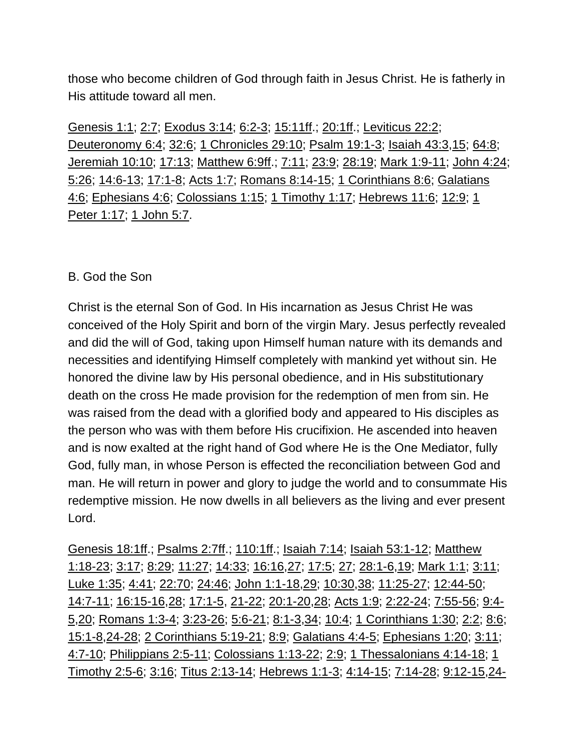those who become children of God through faith in Jesus Christ. He is fatherly in His attitude toward all men.

Genesis 1:1; 2:7; Exodus 3:14; 6:2-3; 15:11ff.; 20:1ff.; Leviticus 22:2; Deuteronomy 6:4; 32:6; 1 Chronicles 29:10; Psalm 19:1-3; Isaiah 43:3,15; 64:8; Jeremiah 10:10; 17:13; Matthew 6:9ff.; 7:11; 23:9; 28:19; Mark 1:9-11; John 4:24; 5:26; 14:6-13; 17:1-8; Acts 1:7; Romans 8:14-15; 1 Corinthians 8:6; Galatians 4:6; Ephesians 4:6; Colossians 1:15; 1 Timothy 1:17; Hebrews 11:6; 12:9; 1 Peter 1:17; 1 John 5:7.

#### B. God the Son

Christ is the eternal Son of God. In His incarnation as Jesus Christ He was conceived of the Holy Spirit and born of the virgin Mary. Jesus perfectly revealed and did the will of God, taking upon Himself human nature with its demands and necessities and identifying Himself completely with mankind yet without sin. He honored the divine law by His personal obedience, and in His substitutionary death on the cross He made provision for the redemption of men from sin. He was raised from the dead with a glorified body and appeared to His disciples as the person who was with them before His crucifixion. He ascended into heaven and is now exalted at the right hand of God where He is the One Mediator, fully God, fully man, in whose Person is effected the reconciliation between God and man. He will return in power and glory to judge the world and to consummate His redemptive mission. He now dwells in all believers as the living and ever present Lord.

Genesis 18:1ff.; Psalms 2:7ff.; 110:1ff.; Isaiah 7:14; Isaiah 53:1-12; Matthew 1:18-23; 3:17; 8:29; 11:27; 14:33; 16:16,27; 17:5; 27; 28:1-6,19; Mark 1:1; 3:11; Luke 1:35; 4:41; 22:70; 24:46; John 1:1-18,29; 10:30,38; 11:25-27; 12:44-50; 14:7-11; 16:15-16,28; 17:1-5, 21-22; 20:1-20,28; Acts 1:9; 2:22-24; 7:55-56; 9:4- 5,20; Romans 1:3-4; 3:23-26; 5:6-21; 8:1-3,34; 10:4; 1 Corinthians 1:30; 2:2; 8:6; 15:1-8,24-28; 2 Corinthians 5:19-21; 8:9; Galatians 4:4-5; Ephesians 1:20; 3:11; 4:7-10; Philippians 2:5-11; Colossians 1:13-22; 2:9; 1 Thessalonians 4:14-18; 1 Timothy 2:5-6; 3:16; Titus 2:13-14; Hebrews 1:1-3; 4:14-15; 7:14-28; 9:12-15,24-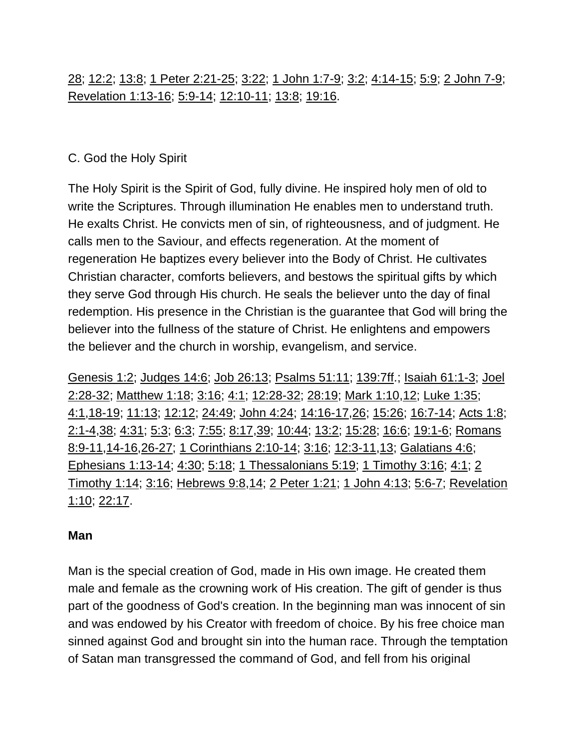# 28; 12:2; 13:8; 1 Peter 2:21-25; 3:22; 1 John 1:7-9; 3:2; 4:14-15; 5:9; 2 John 7-9; Revelation 1:13-16; 5:9-14; 12:10-11; 13:8; 19:16.

## C. God the Holy Spirit

The Holy Spirit is the Spirit of God, fully divine. He inspired holy men of old to write the Scriptures. Through illumination He enables men to understand truth. He exalts Christ. He convicts men of sin, of righteousness, and of judgment. He calls men to the Saviour, and effects regeneration. At the moment of regeneration He baptizes every believer into the Body of Christ. He cultivates Christian character, comforts believers, and bestows the spiritual gifts by which they serve God through His church. He seals the believer unto the day of final redemption. His presence in the Christian is the guarantee that God will bring the believer into the fullness of the stature of Christ. He enlightens and empowers the believer and the church in worship, evangelism, and service.

Genesis 1:2; Judges 14:6; Job 26:13; Psalms 51:11; 139:7ff.; Isaiah 61:1-3; Joel 2:28-32; Matthew 1:18; 3:16; 4:1; 12:28-32; 28:19; Mark 1:10,12; Luke 1:35; 4:1,18-19; 11:13; 12:12; 24:49; John 4:24; 14:16-17,26; 15:26; 16:7-14; Acts 1:8; 2:1-4,38; 4:31; 5:3; 6:3; 7:55; 8:17,39; 10:44; 13:2; 15:28; 16:6; 19:1-6; Romans 8:9-11,14-16,26-27; 1 Corinthians 2:10-14; 3:16; 12:3-11,13; Galatians 4:6; Ephesians 1:13-14; 4:30; 5:18; 1 Thessalonians 5:19; 1 Timothy 3:16; 4:1; 2 Timothy 1:14; 3:16; Hebrews 9:8,14; 2 Peter 1:21; 1 John 4:13; 5:6-7; Revelation 1:10; 22:17.

#### **Man**

Man is the special creation of God, made in His own image. He created them male and female as the crowning work of His creation. The gift of gender is thus part of the goodness of God's creation. In the beginning man was innocent of sin and was endowed by his Creator with freedom of choice. By his free choice man sinned against God and brought sin into the human race. Through the temptation of Satan man transgressed the command of God, and fell from his original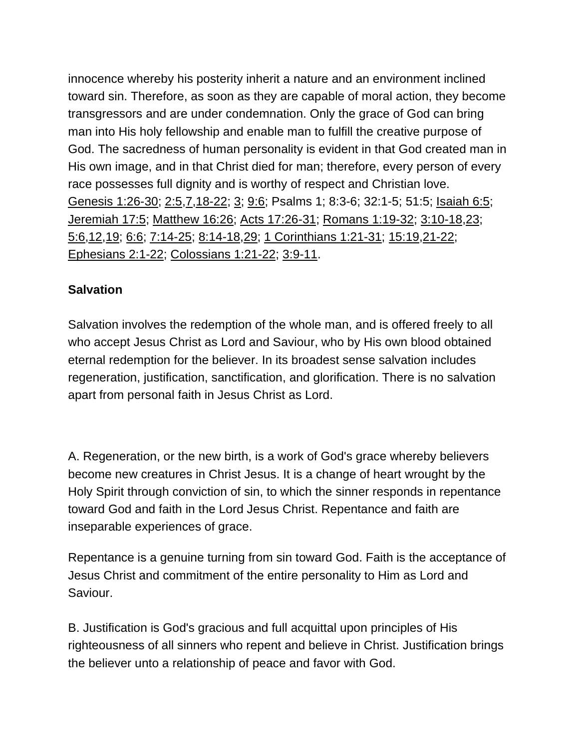innocence whereby his posterity inherit a nature and an environment inclined toward sin. Therefore, as soon as they are capable of moral action, they become transgressors and are under condemnation. Only the grace of God can bring man into His holy fellowship and enable man to fulfill the creative purpose of God. The sacredness of human personality is evident in that God created man in His own image, and in that Christ died for man; therefore, every person of every race possesses full dignity and is worthy of respect and Christian love. Genesis 1:26-30; 2:5,7,18-22; 3; 9:6; Psalms 1; 8:3-6; 32:1-5; 51:5; Isaiah 6:5; Jeremiah 17:5; Matthew 16:26; Acts 17:26-31; Romans 1:19-32; 3:10-18,23; 5:6,12,19; 6:6; 7:14-25; 8:14-18,29; 1 Corinthians 1:21-31; 15:19,21-22; Ephesians 2:1-22; Colossians 1:21-22; 3:9-11.

## **Salvation**

Salvation involves the redemption of the whole man, and is offered freely to all who accept Jesus Christ as Lord and Saviour, who by His own blood obtained eternal redemption for the believer. In its broadest sense salvation includes regeneration, justification, sanctification, and glorification. There is no salvation apart from personal faith in Jesus Christ as Lord.

A. Regeneration, or the new birth, is a work of God's grace whereby believers become new creatures in Christ Jesus. It is a change of heart wrought by the Holy Spirit through conviction of sin, to which the sinner responds in repentance toward God and faith in the Lord Jesus Christ. Repentance and faith are inseparable experiences of grace.

Repentance is a genuine turning from sin toward God. Faith is the acceptance of Jesus Christ and commitment of the entire personality to Him as Lord and Saviour.

B. Justification is God's gracious and full acquittal upon principles of His righteousness of all sinners who repent and believe in Christ. Justification brings the believer unto a relationship of peace and favor with God.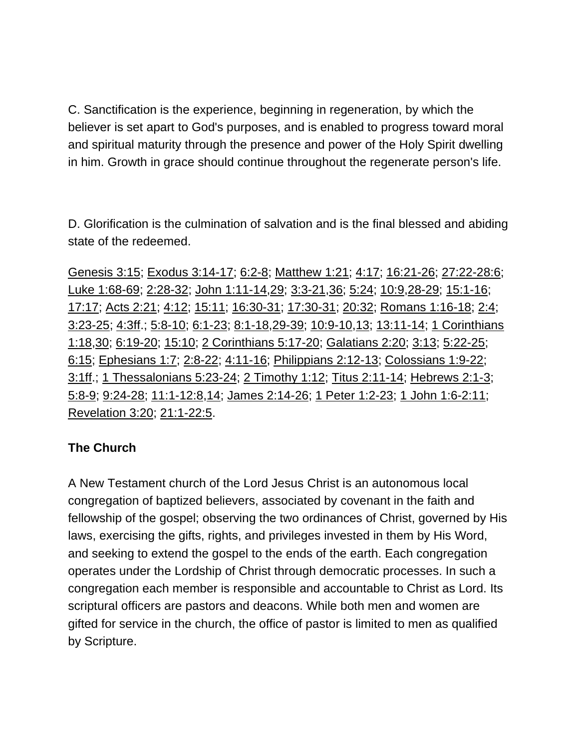C. Sanctification is the experience, beginning in regeneration, by which the believer is set apart to God's purposes, and is enabled to progress toward moral and spiritual maturity through the presence and power of the Holy Spirit dwelling in him. Growth in grace should continue throughout the regenerate person's life.

D. Glorification is the culmination of salvation and is the final blessed and abiding state of the redeemed.

Genesis 3:15; Exodus 3:14-17; 6:2-8; Matthew 1:21; 4:17; 16:21-26; 27:22-28:6; Luke 1:68-69; 2:28-32; John 1:11-14,29; 3:3-21,36; 5:24; 10:9,28-29; 15:1-16; 17:17; Acts 2:21; 4:12; 15:11; 16:30-31; 17:30-31; 20:32; Romans 1:16-18; 2:4; 3:23-25; 4:3ff.; 5:8-10; 6:1-23; 8:1-18,29-39; 10:9-10,13; 13:11-14; 1 Corinthians 1:18,30; 6:19-20; 15:10; 2 Corinthians 5:17-20; Galatians 2:20; 3:13; 5:22-25; 6:15; Ephesians 1:7; 2:8-22; 4:11-16; Philippians 2:12-13; Colossians 1:9-22; 3:1ff.; 1 Thessalonians 5:23-24; 2 Timothy 1:12; Titus 2:11-14; Hebrews 2:1-3; 5:8-9; 9:24-28; 11:1-12:8,14; James 2:14-26; 1 Peter 1:2-23; 1 John 1:6-2:11; Revelation 3:20; 21:1-22:5.

## **The Church**

A New Testament church of the Lord Jesus Christ is an autonomous local congregation of baptized believers, associated by covenant in the faith and fellowship of the gospel; observing the two ordinances of Christ, governed by His laws, exercising the gifts, rights, and privileges invested in them by His Word, and seeking to extend the gospel to the ends of the earth. Each congregation operates under the Lordship of Christ through democratic processes. In such a congregation each member is responsible and accountable to Christ as Lord. Its scriptural officers are pastors and deacons. While both men and women are gifted for service in the church, the office of pastor is limited to men as qualified by Scripture.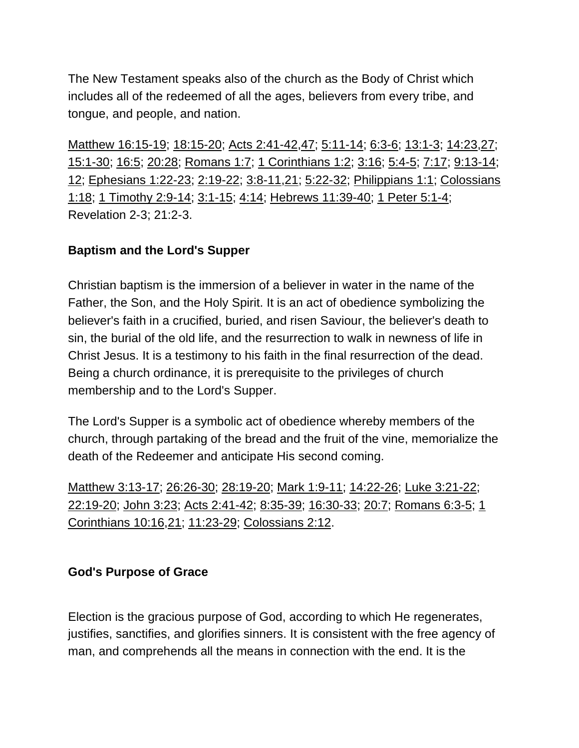The New Testament speaks also of the church as the Body of Christ which includes all of the redeemed of all the ages, believers from every tribe, and tongue, and people, and nation.

Matthew 16:15-19; 18:15-20; Acts 2:41-42,47; 5:11-14; 6:3-6; 13:1-3; 14:23,27; 15:1-30; 16:5; 20:28; Romans 1:7; 1 Corinthians 1:2; 3:16; 5:4-5; 7:17; 9:13-14; 12; Ephesians 1:22-23; 2:19-22; 3:8-11,21; 5:22-32; Philippians 1:1; Colossians 1:18; 1 Timothy 2:9-14; 3:1-15; 4:14; Hebrews 11:39-40; 1 Peter 5:1-4; Revelation 2-3; 21:2-3.

#### **Baptism and the Lord's Supper**

Christian baptism is the immersion of a believer in water in the name of the Father, the Son, and the Holy Spirit. It is an act of obedience symbolizing the believer's faith in a crucified, buried, and risen Saviour, the believer's death to sin, the burial of the old life, and the resurrection to walk in newness of life in Christ Jesus. It is a testimony to his faith in the final resurrection of the dead. Being a church ordinance, it is prerequisite to the privileges of church membership and to the Lord's Supper.

The Lord's Supper is a symbolic act of obedience whereby members of the church, through partaking of the bread and the fruit of the vine, memorialize the death of the Redeemer and anticipate His second coming.

Matthew 3:13-17; 26:26-30; 28:19-20; Mark 1:9-11; 14:22-26; Luke 3:21-22; 22:19-20; John 3:23; Acts 2:41-42; 8:35-39; 16:30-33; 20:7; Romans 6:3-5; 1 Corinthians 10:16,21; 11:23-29; Colossians 2:12.

#### **God's Purpose of Grace**

Election is the gracious purpose of God, according to which He regenerates, justifies, sanctifies, and glorifies sinners. It is consistent with the free agency of man, and comprehends all the means in connection with the end. It is the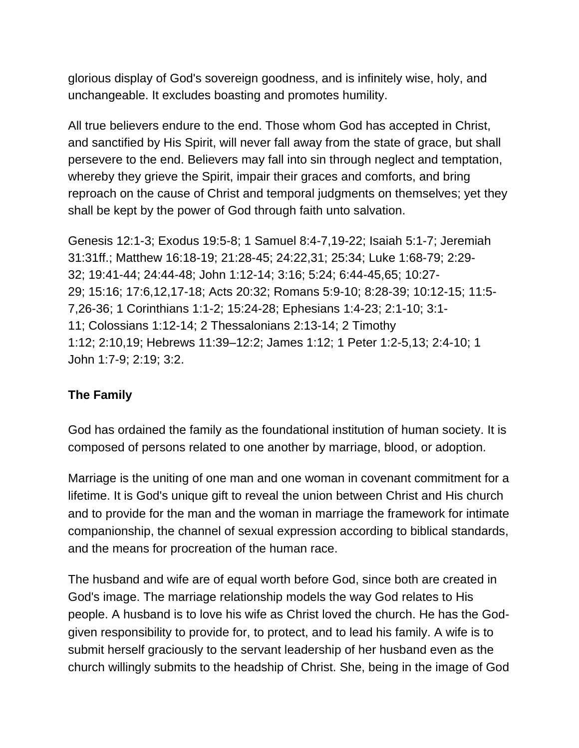glorious display of God's sovereign goodness, and is infinitely wise, holy, and unchangeable. It excludes boasting and promotes humility.

All true believers endure to the end. Those whom God has accepted in Christ, and sanctified by His Spirit, will never fall away from the state of grace, but shall persevere to the end. Believers may fall into sin through neglect and temptation, whereby they grieve the Spirit, impair their graces and comforts, and bring reproach on the cause of Christ and temporal judgments on themselves; yet they shall be kept by the power of God through faith unto salvation.

Genesis 12:1-3; Exodus 19:5-8; 1 Samuel 8:4-7,19-22; Isaiah 5:1-7; Jeremiah 31:31ff.; Matthew 16:18-19; 21:28-45; 24:22,31; 25:34; Luke 1:68-79; 2:29- 32; 19:41-44; 24:44-48; John 1:12-14; 3:16; 5:24; 6:44-45,65; 10:27- 29; 15:16; 17:6,12,17-18; Acts 20:32; Romans 5:9-10; 8:28-39; 10:12-15; 11:5- 7,26-36; 1 Corinthians 1:1-2; 15:24-28; Ephesians 1:4-23; 2:1-10; 3:1- 11; Colossians 1:12-14; 2 Thessalonians 2:13-14; 2 Timothy 1:12; 2:10,19; Hebrews 11:39–12:2; James 1:12; 1 Peter 1:2-5,13; 2:4-10; 1 John 1:7-9; 2:19; 3:2.

#### **The Family**

God has ordained the family as the foundational institution of human society. It is composed of persons related to one another by marriage, blood, or adoption.

Marriage is the uniting of one man and one woman in covenant commitment for a lifetime. It is God's unique gift to reveal the union between Christ and His church and to provide for the man and the woman in marriage the framework for intimate companionship, the channel of sexual expression according to biblical standards, and the means for procreation of the human race.

The husband and wife are of equal worth before God, since both are created in God's image. The marriage relationship models the way God relates to His people. A husband is to love his wife as Christ loved the church. He has the Godgiven responsibility to provide for, to protect, and to lead his family. A wife is to submit herself graciously to the servant leadership of her husband even as the church willingly submits to the headship of Christ. She, being in the image of God